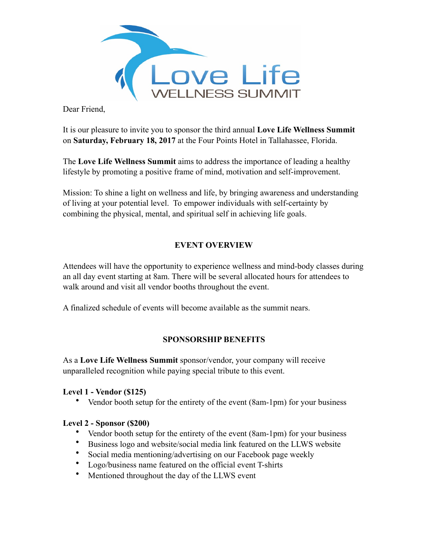

Dear Friend,

It is our pleasure to invite you to sponsor the third annual **Love Life Wellness Summit**  on **Saturday, February 18, 2017** at the Four Points Hotel in Tallahassee, Florida.

The **Love Life Wellness Summit** aims to address the importance of leading a healthy lifestyle by promoting a positive frame of mind, motivation and self-improvement.

Mission: To shine a light on wellness and life, by bringing awareness and understanding of living at your potential level. To empower individuals with self-certainty by combining the physical, mental, and spiritual self in achieving life goals.

# **EVENT OVERVIEW**

Attendees will have the opportunity to experience wellness and mind-body classes during an all day event starting at 8am. There will be several allocated hours for attendees to walk around and visit all vendor booths throughout the event.

A finalized schedule of events will become available as the summit nears.

## **SPONSORSHIP BENEFITS**

As a **Love Life Wellness Summit** sponsor/vendor, your company will receive unparalleled recognition while paying special tribute to this event.

## **Level 1 - Vendor (\$125)**

• Vendor booth setup for the entirety of the event (8am-1pm) for your business

## **Level 2 - Sponsor (\$200)**

- Vendor booth setup for the entirety of the event (8am-1pm) for your business
- Business logo and website/social media link featured on the LLWS website
- Social media mentioning/advertising on our Facebook page weekly
- Logo/business name featured on the official event T-shirts
- Mentioned throughout the day of the LLWS event